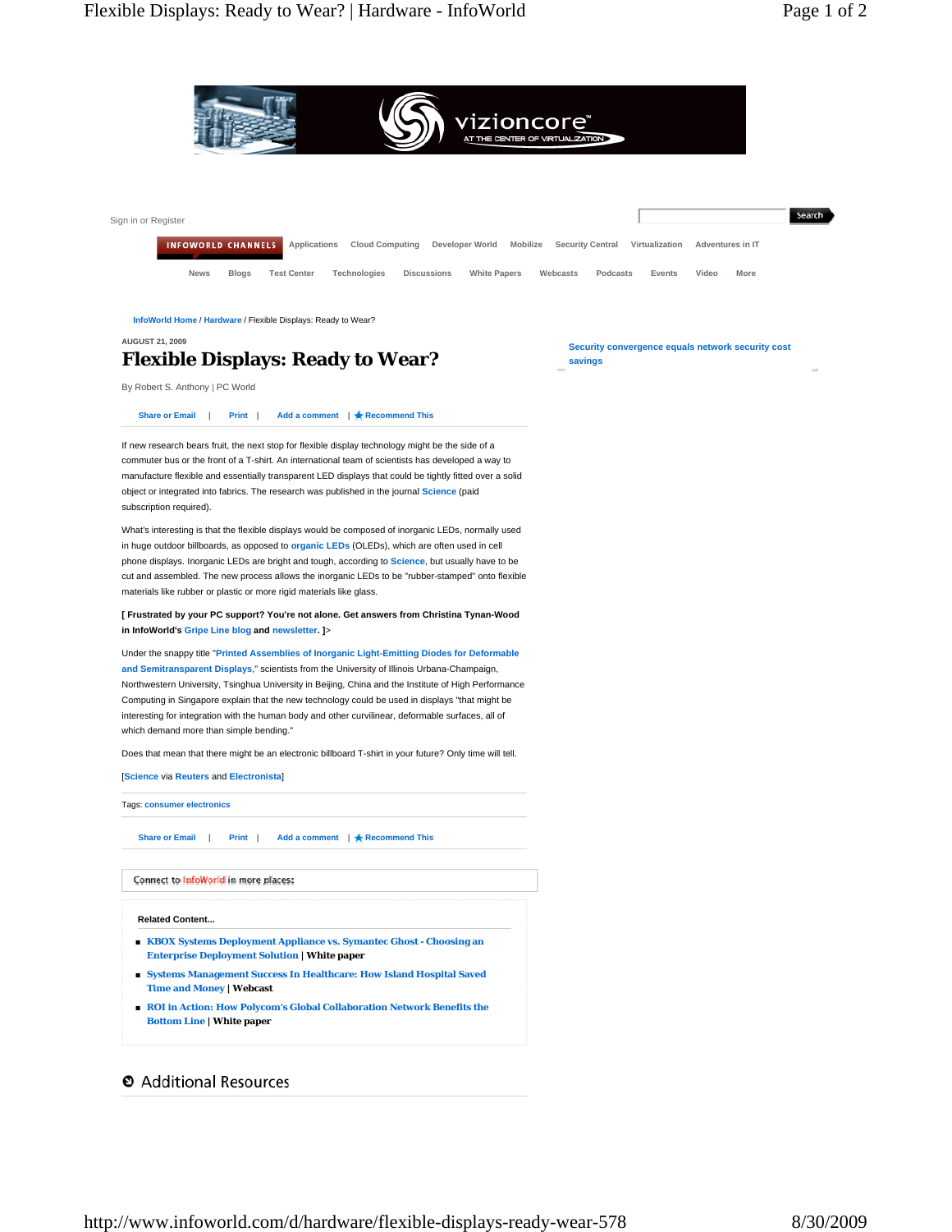